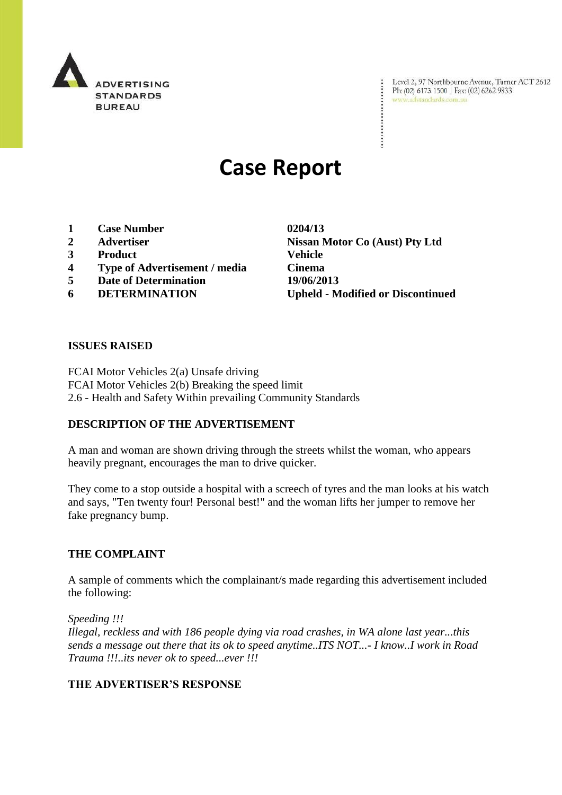

Level 2, 97 Northbourne Avenue, Turner ACT 2612<br>Ph: (02) 6173 1500 | Fax: (02) 6262 9833<br>www.adstandards.com.au

# **Case Report**

- **1 Case Number 0204/13**
- 
- **3 Product Vehicle**
- **4 Type of Advertisement / media Cinema**
- **5 Date of Determination 19/06/2013**
- 

**2 Advertiser Nissan Motor Co (Aust) Pty Ltd 6 DETERMINATION Upheld - Modified or Discontinued**

#### **ISSUES RAISED**

FCAI Motor Vehicles 2(a) Unsafe driving FCAI Motor Vehicles 2(b) Breaking the speed limit 2.6 - Health and Safety Within prevailing Community Standards

## **DESCRIPTION OF THE ADVERTISEMENT**

A man and woman are shown driving through the streets whilst the woman, who appears heavily pregnant, encourages the man to drive quicker.

They come to a stop outside a hospital with a screech of tyres and the man looks at his watch and says, "Ten twenty four! Personal best!" and the woman lifts her jumper to remove her fake pregnancy bump.

#### **THE COMPLAINT**

A sample of comments which the complainant/s made regarding this advertisement included the following:

*Speeding !!!*

*Illegal, reckless and with 186 people dying via road crashes, in WA alone last year...this sends a message out there that its ok to speed anytime..ITS NOT...- I know..I work in Road Trauma !!!..its never ok to speed...ever !!!*

## **THE ADVERTISER'S RESPONSE**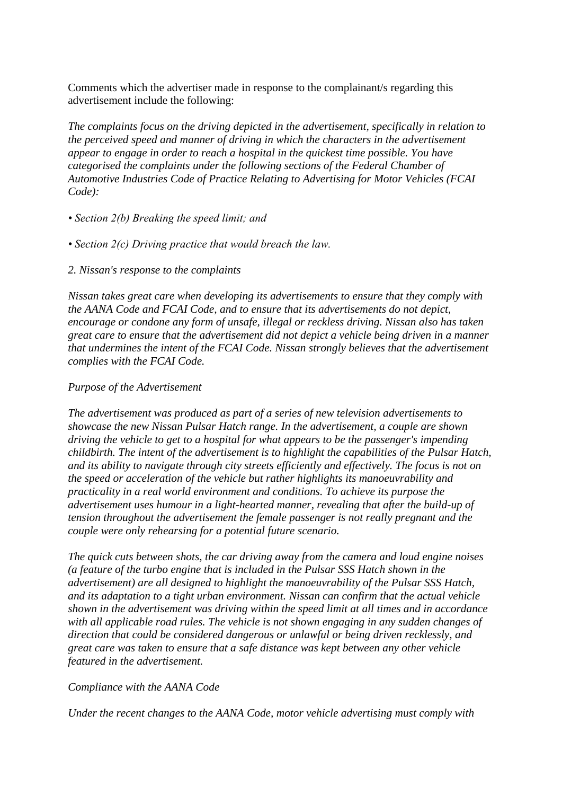Comments which the advertiser made in response to the complainant/s regarding this advertisement include the following:

*The complaints focus on the driving depicted in the advertisement, specifically in relation to the perceived speed and manner of driving in which the characters in the advertisement appear to engage in order to reach a hospital in the quickest time possible. You have categorised the complaints under the following sections of the Federal Chamber of Automotive Industries Code of Practice Relating to Advertising for Motor Vehicles (FCAI Code):*

- *Section 2(b) Breaking the speed limit; and*
- *Section 2(c) Driving practice that would breach the law.*
- *2. Nissan's response to the complaints*

*Nissan takes great care when developing its advertisements to ensure that they comply with the AANA Code and FCAI Code, and to ensure that its advertisements do not depict, encourage or condone any form of unsafe, illegal or reckless driving. Nissan also has taken great care to ensure that the advertisement did not depict a vehicle being driven in a manner that undermines the intent of the FCAI Code. Nissan strongly believes that the advertisement complies with the FCAI Code.*

#### *Purpose of the Advertisement*

*The advertisement was produced as part of a series of new television advertisements to showcase the new Nissan Pulsar Hatch range. In the advertisement, a couple are shown driving the vehicle to get to a hospital for what appears to be the passenger's impending childbirth. The intent of the advertisement is to highlight the capabilities of the Pulsar Hatch, and its ability to navigate through city streets efficiently and effectively. The focus is not on the speed or acceleration of the vehicle but rather highlights its manoeuvrability and practicality in a real world environment and conditions. To achieve its purpose the advertisement uses humour in a light-hearted manner, revealing that after the build-up of tension throughout the advertisement the female passenger is not really pregnant and the couple were only rehearsing for a potential future scenario.*

*The quick cuts between shots, the car driving away from the camera and loud engine noises (a feature of the turbo engine that is included in the Pulsar SSS Hatch shown in the advertisement) are all designed to highlight the manoeuvrability of the Pulsar SSS Hatch, and its adaptation to a tight urban environment. Nissan can confirm that the actual vehicle shown in the advertisement was driving within the speed limit at all times and in accordance with all applicable road rules. The vehicle is not shown engaging in any sudden changes of direction that could be considered dangerous or unlawful or being driven recklessly, and great care was taken to ensure that a safe distance was kept between any other vehicle featured in the advertisement.*

#### *Compliance with the AANA Code*

*Under the recent changes to the AANA Code, motor vehicle advertising must comply with*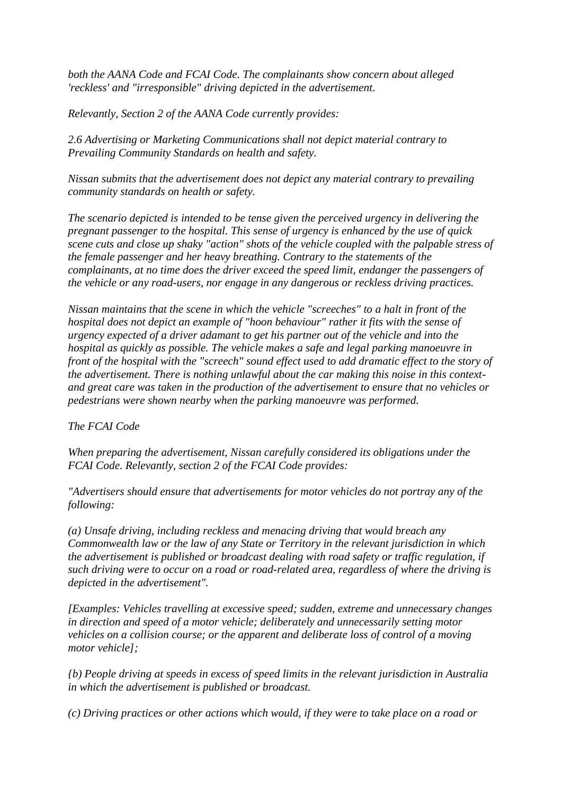*both the AANA Code and FCAI Code. The complainants show concern about alleged 'reckless' and "irresponsible" driving depicted in the advertisement.*

*Relevantly, Section 2 of the AANA Code currently provides:*

*2.6 Advertising or Marketing Communications shall not depict material contrary to Prevailing Community Standards on health and safety.*

*Nissan submits that the advertisement does not depict any material contrary to prevailing community standards on health or safety.*

*The scenario depicted is intended to be tense given the perceived urgency in delivering the pregnant passenger to the hospital. This sense of urgency is enhanced by the use of quick scene cuts and close up shaky "action" shots of the vehicle coupled with the palpable stress of the female passenger and her heavy breathing. Contrary to the statements of the complainants, at no time does the driver exceed the speed limit, endanger the passengers of the vehicle or any road-users, nor engage in any dangerous or reckless driving practices.*

*Nissan maintains that the scene in which the vehicle "screeches" to a halt in front of the hospital does not depict an example of "hoon behaviour" rather it fits with the sense of urgency expected of a driver adamant to get his partner out of the vehicle and into the hospital as quickly as possible. The vehicle makes a safe and legal parking manoeuvre in front of the hospital with the "screech" sound effect used to add dramatic effect to the story of the advertisement. There is nothing unlawful about the car making this noise in this contextand great care was taken in the production of the advertisement to ensure that no vehicles or pedestrians were shown nearby when the parking manoeuvre was performed.*

## *The FCAI Code*

*When preparing the advertisement, Nissan carefully considered its obligations under the FCAI Code. Relevantly, section 2 of the FCAI Code provides:*

*"Advertisers should ensure that advertisements for motor vehicles do not portray any of the following:*

*(a) Unsafe driving, including reckless and menacing driving that would breach any Commonwealth law or the law of any State or Territory in the relevant jurisdiction in which the advertisement is published or broadcast dealing with road safety or traffic regulation, if such driving were to occur on a road or road-related area, regardless of where the driving is depicted in the advertisement".*

*[Examples: Vehicles travelling at excessive speed; sudden, extreme and unnecessary changes in direction and speed of a motor vehicle; deliberately and unnecessarily setting motor vehicles on a collision course; or the apparent and deliberate loss of control of a moving motor vehicle];*

*{b) People driving at speeds in excess of speed limits in the relevant jurisdiction in Australia in which the advertisement is published or broadcast.*

*(c) Driving practices or other actions which would, if they were to take place on a road or*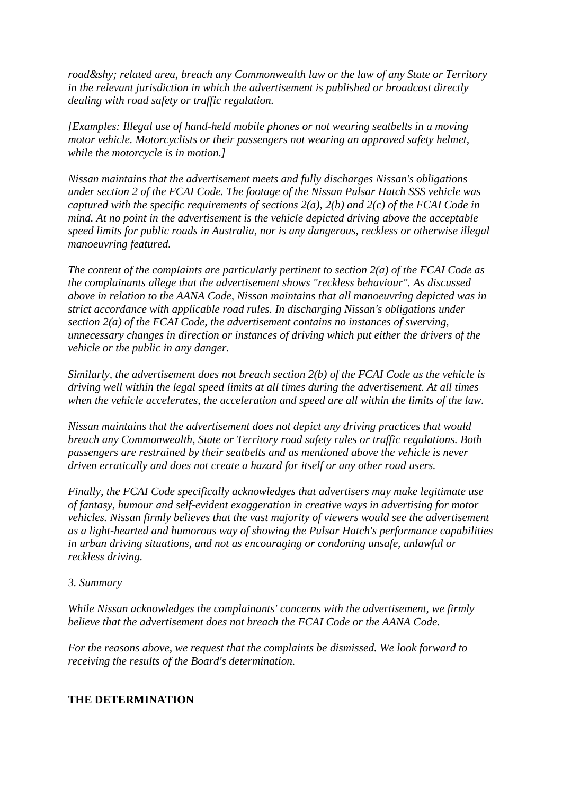*road­ related area, breach any Commonwealth law or the law of any State or Territory in the relevant jurisdiction in which the advertisement is published or broadcast directly dealing with road safety or traffic regulation.*

*[Examples: Illegal use of hand-held mobile phones or not wearing seatbelts in a moving motor vehicle. Motorcyclists or their passengers not wearing an approved safety helmet, while the motorcycle is in motion.]*

*Nissan maintains that the advertisement meets and fully discharges Nissan's obligations under section 2 of the FCAI Code. The footage of the Nissan Pulsar Hatch SSS vehicle was captured with the specific requirements of sections 2(a), 2(b) and 2(c) of the FCAI Code in mind. At no point in the advertisement is the vehicle depicted driving above the acceptable speed limits for public roads in Australia, nor is any dangerous, reckless or otherwise illegal manoeuvring featured.*

*The content of the complaints are particularly pertinent to section 2(a) of the FCAI Code as the complainants allege that the advertisement shows "reckless behaviour". As discussed above in relation to the AANA Code, Nissan maintains that all manoeuvring depicted was in strict accordance with applicable road rules. In discharging Nissan's obligations under section 2(a) of the FCAI Code, the advertisement contains no instances of swerving, unnecessary changes in direction or instances of driving which put either the drivers of the vehicle or the public in any danger.* 

*Similarly, the advertisement does not breach section 2(b) of the FCAI Code as the vehicle is driving well within the legal speed limits at all times during the advertisement. At all times when the vehicle accelerates, the acceleration and speed are all within the limits of the law.* 

*Nissan maintains that the advertisement does not depict any driving practices that would breach any Commonwealth, State or Territory road safety rules or traffic regulations. Both passengers are restrained by their seatbelts and as mentioned above the vehicle is never driven erratically and does not create a hazard for itself or any other road users.* 

*Finally, the FCAI Code specifically acknowledges that advertisers may make legitimate use of fantasy, humour and self-evident exaggeration in creative ways in advertising for motor vehicles. Nissan firmly believes that the vast majority of viewers would see the advertisement as a light-hearted and humorous way of showing the Pulsar Hatch's performance capabilities in urban driving situations, and not as encouraging or condoning unsafe, unlawful or reckless driving.* 

#### *3. Summary*

*While Nissan acknowledges the complainants' concerns with the advertisement, we firmly believe that the advertisement does not breach the FCAI Code or the AANA Code.* 

*For the reasons above, we request that the complaints be dismissed. We look forward to receiving the results of the Board's determination.* 

#### **THE DETERMINATION**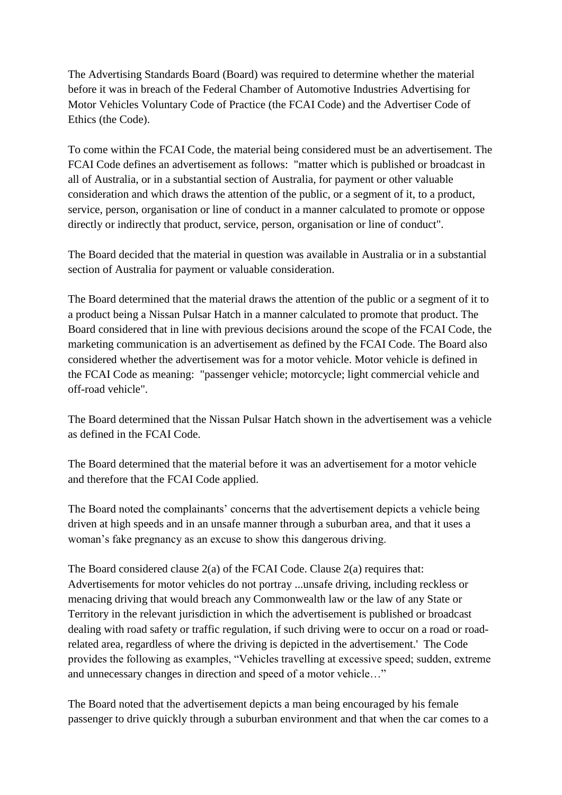The Advertising Standards Board (Board) was required to determine whether the material before it was in breach of the Federal Chamber of Automotive Industries Advertising for Motor Vehicles Voluntary Code of Practice (the FCAI Code) and the Advertiser Code of Ethics (the Code).

To come within the FCAI Code, the material being considered must be an advertisement. The FCAI Code defines an advertisement as follows: "matter which is published or broadcast in all of Australia, or in a substantial section of Australia, for payment or other valuable consideration and which draws the attention of the public, or a segment of it, to a product, service, person, organisation or line of conduct in a manner calculated to promote or oppose directly or indirectly that product, service, person, organisation or line of conduct".

The Board decided that the material in question was available in Australia or in a substantial section of Australia for payment or valuable consideration.

The Board determined that the material draws the attention of the public or a segment of it to a product being a Nissan Pulsar Hatch in a manner calculated to promote that product. The Board considered that in line with previous decisions around the scope of the FCAI Code, the marketing communication is an advertisement as defined by the FCAI Code. The Board also considered whether the advertisement was for a motor vehicle. Motor vehicle is defined in the FCAI Code as meaning: "passenger vehicle; motorcycle; light commercial vehicle and off-road vehicle".

The Board determined that the Nissan Pulsar Hatch shown in the advertisement was a vehicle as defined in the FCAI Code.

The Board determined that the material before it was an advertisement for a motor vehicle and therefore that the FCAI Code applied.

The Board noted the complainants' concerns that the advertisement depicts a vehicle being driven at high speeds and in an unsafe manner through a suburban area, and that it uses a woman's fake pregnancy as an excuse to show this dangerous driving.

The Board considered clause  $2(a)$  of the FCAI Code. Clause  $2(a)$  requires that: Advertisements for motor vehicles do not portray ...unsafe driving, including reckless or menacing driving that would breach any Commonwealth law or the law of any State or Territory in the relevant jurisdiction in which the advertisement is published or broadcast dealing with road safety or traffic regulation, if such driving were to occur on a road or roadrelated area, regardless of where the driving is depicted in the advertisement.' The Code provides the following as examples, "Vehicles travelling at excessive speed; sudden, extreme and unnecessary changes in direction and speed of a motor vehicle…"

The Board noted that the advertisement depicts a man being encouraged by his female passenger to drive quickly through a suburban environment and that when the car comes to a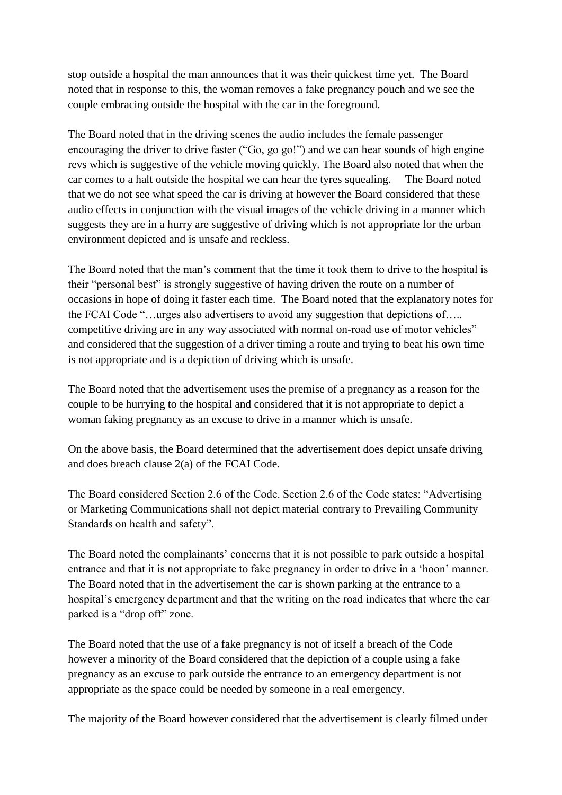stop outside a hospital the man announces that it was their quickest time yet. The Board noted that in response to this, the woman removes a fake pregnancy pouch and we see the couple embracing outside the hospital with the car in the foreground.

The Board noted that in the driving scenes the audio includes the female passenger encouraging the driver to drive faster ("Go, go go!") and we can hear sounds of high engine revs which is suggestive of the vehicle moving quickly. The Board also noted that when the car comes to a halt outside the hospital we can hear the tyres squealing. The Board noted that we do not see what speed the car is driving at however the Board considered that these audio effects in conjunction with the visual images of the vehicle driving in a manner which suggests they are in a hurry are suggestive of driving which is not appropriate for the urban environment depicted and is unsafe and reckless.

The Board noted that the man"s comment that the time it took them to drive to the hospital is their "personal best" is strongly suggestive of having driven the route on a number of occasions in hope of doing it faster each time. The Board noted that the explanatory notes for the FCAI Code "…urges also advertisers to avoid any suggestion that depictions of….. competitive driving are in any way associated with normal on-road use of motor vehicles" and considered that the suggestion of a driver timing a route and trying to beat his own time is not appropriate and is a depiction of driving which is unsafe.

The Board noted that the advertisement uses the premise of a pregnancy as a reason for the couple to be hurrying to the hospital and considered that it is not appropriate to depict a woman faking pregnancy as an excuse to drive in a manner which is unsafe.

On the above basis, the Board determined that the advertisement does depict unsafe driving and does breach clause 2(a) of the FCAI Code.

The Board considered Section 2.6 of the Code. Section 2.6 of the Code states: "Advertising or Marketing Communications shall not depict material contrary to Prevailing Community Standards on health and safety".

The Board noted the complainants" concerns that it is not possible to park outside a hospital entrance and that it is not appropriate to fake pregnancy in order to drive in a "hoon" manner. The Board noted that in the advertisement the car is shown parking at the entrance to a hospital"s emergency department and that the writing on the road indicates that where the car parked is a "drop off" zone.

The Board noted that the use of a fake pregnancy is not of itself a breach of the Code however a minority of the Board considered that the depiction of a couple using a fake pregnancy as an excuse to park outside the entrance to an emergency department is not appropriate as the space could be needed by someone in a real emergency.

The majority of the Board however considered that the advertisement is clearly filmed under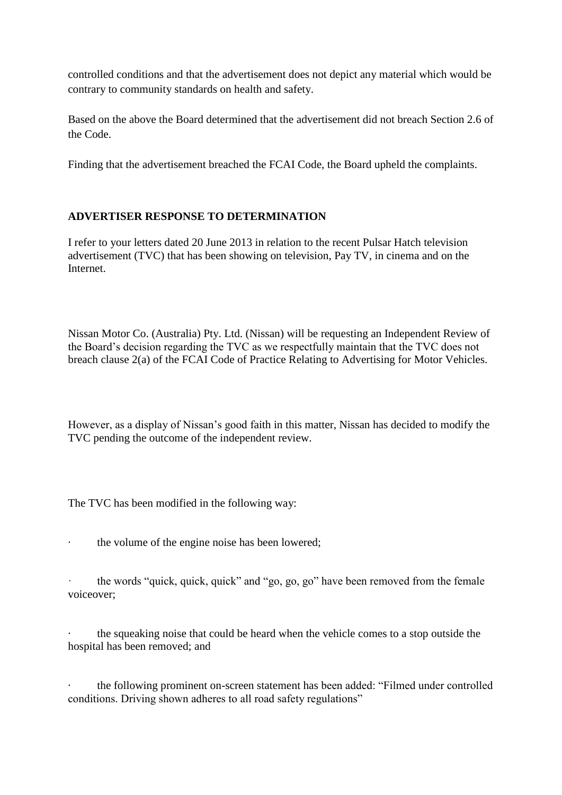controlled conditions and that the advertisement does not depict any material which would be contrary to community standards on health and safety.

Based on the above the Board determined that the advertisement did not breach Section 2.6 of the Code.

Finding that the advertisement breached the FCAI Code, the Board upheld the complaints.

## **ADVERTISER RESPONSE TO DETERMINATION**

I refer to your letters dated 20 June 2013 in relation to the recent Pulsar Hatch television advertisement (TVC) that has been showing on television, Pay TV, in cinema and on the Internet.

Nissan Motor Co. (Australia) Pty. Ltd. (Nissan) will be requesting an Independent Review of the Board"s decision regarding the TVC as we respectfully maintain that the TVC does not breach clause 2(a) of the FCAI Code of Practice Relating to Advertising for Motor Vehicles.

However, as a display of Nissan"s good faith in this matter, Nissan has decided to modify the TVC pending the outcome of the independent review.

The TVC has been modified in the following way:

· the volume of the engine noise has been lowered;

· the words "quick, quick, quick" and "go, go, go" have been removed from the female voiceover;

· the squeaking noise that could be heard when the vehicle comes to a stop outside the hospital has been removed; and

the following prominent on-screen statement has been added: "Filmed under controlled conditions. Driving shown adheres to all road safety regulations"